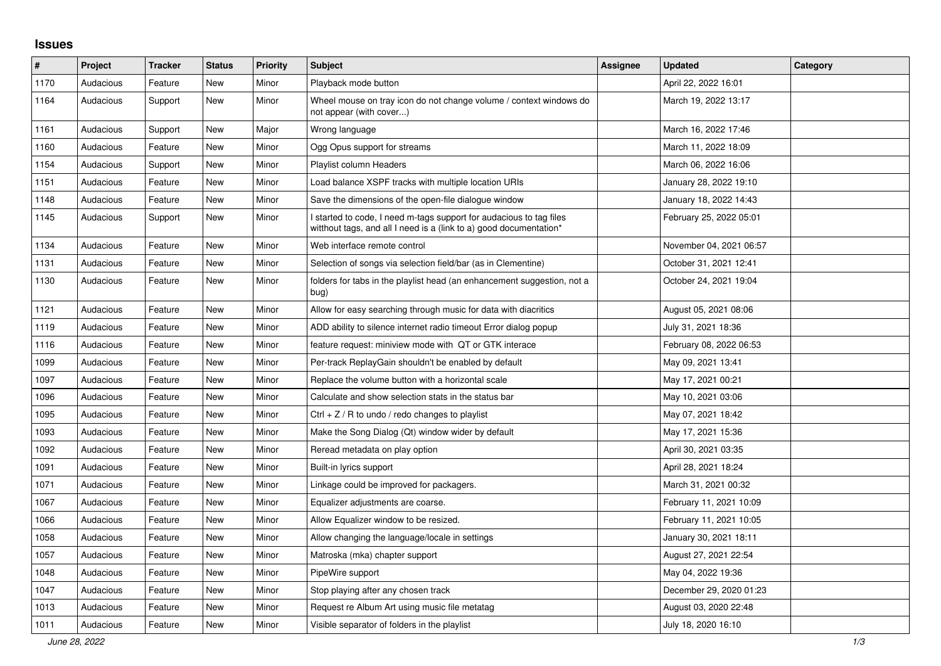## **Issues**

| #    | <b>Project</b> | <b>Tracker</b> | <b>Status</b> | <b>Priority</b> | <b>Subject</b>                                                                                                                            | Assignee | <b>Updated</b>          | Category |
|------|----------------|----------------|---------------|-----------------|-------------------------------------------------------------------------------------------------------------------------------------------|----------|-------------------------|----------|
| 1170 | Audacious      | Feature        | <b>New</b>    | Minor           | Playback mode button                                                                                                                      |          | April 22, 2022 16:01    |          |
| 1164 | Audacious      | Support        | New           | Minor           | Wheel mouse on tray icon do not change volume / context windows do<br>not appear (with cover)                                             |          | March 19, 2022 13:17    |          |
| 1161 | Audacious      | Support        | New           | Major           | Wrong language                                                                                                                            |          | March 16, 2022 17:46    |          |
| 1160 | Audacious      | Feature        | <b>New</b>    | Minor           | Ogg Opus support for streams                                                                                                              |          | March 11, 2022 18:09    |          |
| 1154 | Audacious      | Support        | New           | Minor           | Playlist column Headers                                                                                                                   |          | March 06, 2022 16:06    |          |
| 1151 | Audacious      | Feature        | New           | Minor           | Load balance XSPF tracks with multiple location URIs                                                                                      |          | January 28, 2022 19:10  |          |
| 1148 | Audacious      | Feature        | New           | Minor           | Save the dimensions of the open-file dialogue window                                                                                      |          | January 18, 2022 14:43  |          |
| 1145 | Audacious      | Support        | New           | Minor           | I started to code, I need m-tags support for audacious to tag files<br>witthout tags, and all I need is a (link to a) good documentation* |          | February 25, 2022 05:01 |          |
| 1134 | Audacious      | Feature        | New           | Minor           | Web interface remote control                                                                                                              |          | November 04, 2021 06:57 |          |
| 1131 | Audacious      | Feature        | <b>New</b>    | Minor           | Selection of songs via selection field/bar (as in Clementine)                                                                             |          | October 31, 2021 12:41  |          |
| 1130 | Audacious      | Feature        | New           | Minor           | folders for tabs in the playlist head (an enhancement suggestion, not a<br>bug)                                                           |          | October 24, 2021 19:04  |          |
| 1121 | Audacious      | Feature        | New           | Minor           | Allow for easy searching through music for data with diacritics                                                                           |          | August 05, 2021 08:06   |          |
| 1119 | Audacious      | Feature        | New           | Minor           | ADD ability to silence internet radio timeout Error dialog popup                                                                          |          | July 31, 2021 18:36     |          |
| 1116 | Audacious      | Feature        | New           | Minor           | feature request: miniview mode with QT or GTK interace                                                                                    |          | February 08, 2022 06:53 |          |
| 1099 | Audacious      | Feature        | New           | Minor           | Per-track ReplayGain shouldn't be enabled by default                                                                                      |          | May 09, 2021 13:41      |          |
| 1097 | Audacious      | Feature        | New           | Minor           | Replace the volume button with a horizontal scale                                                                                         |          | May 17, 2021 00:21      |          |
| 1096 | Audacious      | Feature        | New           | Minor           | Calculate and show selection stats in the status bar                                                                                      |          | May 10, 2021 03:06      |          |
| 1095 | Audacious      | Feature        | New           | Minor           | Ctrl + $Z$ / R to undo / redo changes to playlist                                                                                         |          | May 07, 2021 18:42      |          |
| 1093 | Audacious      | Feature        | New           | Minor           | Make the Song Dialog (Qt) window wider by default                                                                                         |          | May 17, 2021 15:36      |          |
| 1092 | Audacious      | Feature        | New           | Minor           | Reread metadata on play option                                                                                                            |          | April 30, 2021 03:35    |          |
| 1091 | Audacious      | Feature        | <b>New</b>    | Minor           | Built-in lyrics support                                                                                                                   |          | April 28, 2021 18:24    |          |
| 1071 | Audacious      | Feature        | New           | Minor           | Linkage could be improved for packagers.                                                                                                  |          | March 31, 2021 00:32    |          |
| 1067 | Audacious      | Feature        | New           | Minor           | Equalizer adjustments are coarse.                                                                                                         |          | February 11, 2021 10:09 |          |
| 1066 | Audacious      | Feature        | New           | Minor           | Allow Equalizer window to be resized.                                                                                                     |          | February 11, 2021 10:05 |          |
| 1058 | Audacious      | Feature        | <b>New</b>    | Minor           | Allow changing the language/locale in settings                                                                                            |          | January 30, 2021 18:11  |          |
| 1057 | Audacious      | Feature        | <b>New</b>    | Minor           | Matroska (mka) chapter support                                                                                                            |          | August 27, 2021 22:54   |          |
| 1048 | Audacious      | Feature        | New           | Minor           | PipeWire support                                                                                                                          |          | May 04, 2022 19:36      |          |
| 1047 | Audacious      | Feature        | New           | Minor           | Stop playing after any chosen track                                                                                                       |          | December 29, 2020 01:23 |          |
| 1013 | Audacious      | Feature        | New           | Minor           | Request re Album Art using music file metatag                                                                                             |          | August 03, 2020 22:48   |          |
| 1011 | Audacious      | Feature        | New           | Minor           | Visible separator of folders in the playlist                                                                                              |          | July 18, 2020 16:10     |          |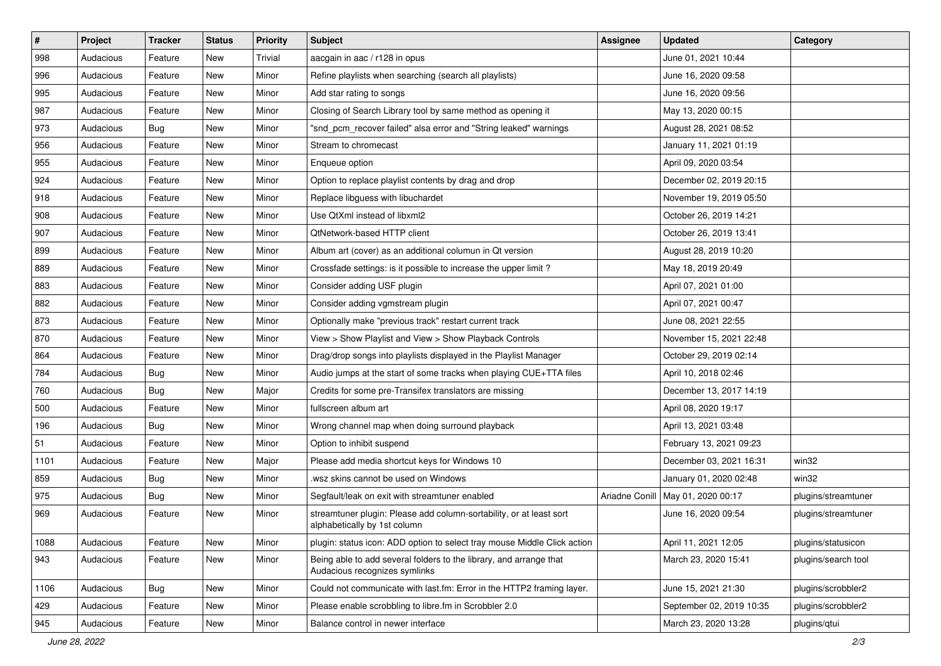| $\vert$ # | Project   | <b>Tracker</b> | <b>Status</b> | <b>Priority</b> | <b>Subject</b>                                                                                      | <b>Assignee</b> | <b>Updated</b>           | Category            |
|-----------|-----------|----------------|---------------|-----------------|-----------------------------------------------------------------------------------------------------|-----------------|--------------------------|---------------------|
| 998       | Audacious | Feature        | New           | Trivial         | aacgain in aac / r128 in opus                                                                       |                 | June 01, 2021 10:44      |                     |
| 996       | Audacious | Feature        | <b>New</b>    | Minor           | Refine playlists when searching (search all playlists)                                              |                 | June 16, 2020 09:58      |                     |
| 995       | Audacious | Feature        | New           | Minor           | Add star rating to songs                                                                            |                 | June 16, 2020 09:56      |                     |
| 987       | Audacious | Feature        | New           | Minor           | Closing of Search Library tool by same method as opening it                                         |                 | May 13, 2020 00:15       |                     |
| 973       | Audacious | <b>Bug</b>     | New           | Minor           | "snd_pcm_recover failed" alsa error and "String leaked" warnings                                    |                 | August 28, 2021 08:52    |                     |
| 956       | Audacious | Feature        | New           | Minor           | Stream to chromecast                                                                                |                 | January 11, 2021 01:19   |                     |
| 955       | Audacious | Feature        | New           | Minor           | Enqueue option                                                                                      |                 | April 09, 2020 03:54     |                     |
| 924       | Audacious | Feature        | New           | Minor           | Option to replace playlist contents by drag and drop                                                |                 | December 02, 2019 20:15  |                     |
| 918       | Audacious | Feature        | New           | Minor           | Replace libguess with libuchardet                                                                   |                 | November 19, 2019 05:50  |                     |
| 908       | Audacious | Feature        | New           | Minor           | Use QtXml instead of libxml2                                                                        |                 | October 26, 2019 14:21   |                     |
| 907       | Audacious | Feature        | New           | Minor           | QtNetwork-based HTTP client                                                                         |                 | October 26, 2019 13:41   |                     |
| 899       | Audacious | Feature        | New           | Minor           | Album art (cover) as an additional columun in Qt version                                            |                 | August 28, 2019 10:20    |                     |
| 889       | Audacious | Feature        | New           | Minor           | Crossfade settings: is it possible to increase the upper limit?                                     |                 | May 18, 2019 20:49       |                     |
| 883       | Audacious | Feature        | New           | Minor           | Consider adding USF plugin                                                                          |                 | April 07, 2021 01:00     |                     |
| 882       | Audacious | Feature        | <b>New</b>    | Minor           | Consider adding vgmstream plugin                                                                    |                 | April 07, 2021 00:47     |                     |
| 873       | Audacious | Feature        | New           | Minor           | Optionally make "previous track" restart current track                                              |                 | June 08, 2021 22:55      |                     |
| 870       | Audacious | Feature        | New           | Minor           | View > Show Playlist and View > Show Playback Controls                                              |                 | November 15, 2021 22:48  |                     |
| 864       | Audacious | Feature        | New           | Minor           | Drag/drop songs into playlists displayed in the Playlist Manager                                    |                 | October 29, 2019 02:14   |                     |
| 784       | Audacious | Bug            | New           | Minor           | Audio jumps at the start of some tracks when playing CUE+TTA files                                  |                 | April 10, 2018 02:46     |                     |
| 760       | Audacious | <b>Bug</b>     | New           | Major           | Credits for some pre-Transifex translators are missing                                              |                 | December 13, 2017 14:19  |                     |
| 500       | Audacious | Feature        | New           | Minor           | fullscreen album art                                                                                |                 | April 08, 2020 19:17     |                     |
| 196       | Audacious | <b>Bug</b>     | New           | Minor           | Wrong channel map when doing surround playback                                                      |                 | April 13, 2021 03:48     |                     |
| 51        | Audacious | Feature        | New           | Minor           | Option to inhibit suspend                                                                           |                 | February 13, 2021 09:23  |                     |
| 1101      | Audacious | Feature        | New           | Major           | Please add media shortcut keys for Windows 10                                                       |                 | December 03, 2021 16:31  | win32               |
| 859       | Audacious | Bug            | New           | Minor           | wsz skins cannot be used on Windows                                                                 |                 | January 01, 2020 02:48   | win32               |
| 975       | Audacious | <b>Bug</b>     | New           | Minor           | Segfault/leak on exit with streamtuner enabled                                                      | Ariadne Conill  | May 01, 2020 00:17       | plugins/streamtuner |
| 969       | Audacious | Feature        | New           | Minor           | streamtuner plugin: Please add column-sortability, or at least sort<br>alphabetically by 1st column |                 | June 16, 2020 09:54      | plugins/streamtuner |
| 1088      | Audacious | Feature        | New           | Minor           | plugin: status icon: ADD option to select tray mouse Middle Click action                            |                 | April 11, 2021 12:05     | plugins/statusicon  |
| 943       | Audacious | Feature        | New           | Minor           | Being able to add several folders to the library, and arrange that<br>Audacious recognizes symlinks |                 | March 23, 2020 15:41     | plugins/search tool |
| 1106      | Audacious | Bug            | New           | Minor           | Could not communicate with last.fm: Error in the HTTP2 framing layer.                               |                 | June 15, 2021 21:30      | plugins/scrobbler2  |
| 429       | Audacious | Feature        | New           | Minor           | Please enable scrobbling to libre.fm in Scrobbler 2.0                                               |                 | September 02, 2019 10:35 | plugins/scrobbler2  |
| 945       | Audacious | Feature        | New           | Minor           | Balance control in newer interface                                                                  |                 | March 23, 2020 13:28     | plugins/qtui        |